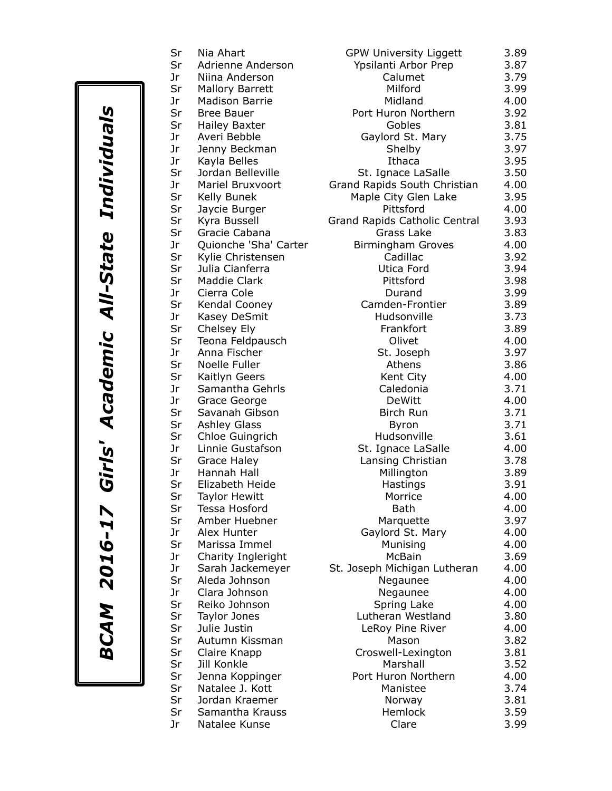| ı                       |  |
|-------------------------|--|
|                         |  |
| ı<br>これのために<br>I        |  |
| —<br> <br> <br>л        |  |
| r<br>1<br>ļ<br>Ĺ<br>201 |  |
| <b>BCAM</b>             |  |

| Sr<br>Adrienne Anderson<br>Ypsilanti Arbor Prep<br>Jr<br>Calumet<br>Niina Anderson<br>Sr<br>Milford<br><b>Mallory Barrett</b><br>Jr<br>Midland<br><b>Madison Barrie</b><br>Sr<br>Port Huron Northern<br><b>Bree Bauer</b><br>Sr<br>Gobles<br><b>Hailey Baxter</b><br>Averi Bebble<br>Gaylord St. Mary<br>Jr<br>Jr<br>Jenny Beckman<br>Shelby<br>Ithaca<br>Jr<br>Kayla Belles<br>Sr<br>Jordan Belleville<br>St. Ignace LaSalle<br>Jr<br>Grand Rapids South Christian<br>Mariel Bruxvoort<br>Sr<br>Maple City Glen Lake<br>Kelly Bunek<br>Sr<br>Pittsford<br>Jaycie Burger<br>Sr<br>Kyra Bussell<br>Grand Rapids Catholic Central<br>Sr<br>Grass Lake<br>Gracie Cabana<br>Jr<br>Quionche 'Sha' Carter<br><b>Birmingham Groves</b><br>Sr<br>Cadillac<br>Kylie Christensen<br>Sr<br>Julia Cianferra<br>Utica Ford<br>Sr<br><b>Maddie Clark</b><br>Pittsford<br>Jr<br>Cierra Cole<br>Durand<br>Sr<br>Kendal Cooney<br>Camden-Frontier<br>Jr<br>Kasey DeSmit<br>Hudsonville<br>Sr<br>Frankfort<br>Chelsey Ely<br>Sr<br>Olivet<br>Teona Feldpausch<br>Jr<br>Anna Fischer<br>St. Joseph<br>Sr<br>Noelle Fuller<br>Athens<br>Sr<br>Kaitlyn Geers<br>Kent City<br>Samantha Gehrls<br>Jr<br>Caledonia<br>Jr<br>DeWitt<br>Grace George<br>Sr<br><b>Birch Run</b><br>Savanah Gibson<br>Sr<br><b>Ashley Glass</b><br>Byron<br>Sr<br>Hudsonville<br>Chloe Guingrich<br>Jr<br>Linnie Gustafson<br>St. Ignace LaSalle<br>Sr<br>Grace Haley<br>Lansing Christian<br>Jr<br>Hannah Hall<br>Millington<br>Sr<br>Elizabeth Heide<br>Hastings<br>Sr<br>Morrice<br><b>Taylor Hewitt</b><br>Sr<br>Tessa Hosford<br><b>Bath</b><br>Sr<br>Amber Huebner<br>Marquette<br>Jr<br>Alex Hunter<br>Gaylord St. Mary<br>Sr<br>Marissa Immel<br>Munising<br>Jr<br>Charity Ingleright<br><b>McBain</b><br>Jr<br>St. Joseph Michigan Lutheran<br>Sarah Jackemeyer<br>Sr<br>Aleda Johnson<br>Negaunee<br>Jr<br>Clara Johnson<br>Negaunee<br>Sr<br>Reiko Johnson<br>Spring Lake<br>Sr<br>Lutheran Westland<br>Taylor Jones<br>Sr<br>Julie Justin<br>LeRoy Pine River<br>Sr<br>Autumn Kissman<br>Mason<br>Sr<br>Croswell-Lexington<br>Claire Knapp<br>Sr<br>Jill Konkle<br>Marshall<br>Sr<br>Port Huron Northern<br>Jenna Koppinger<br>Sr<br>Natalee J. Kott<br>Manistee<br>Sr<br>Jordan Kraemer<br>Norway<br>Sr<br>Samantha Krauss<br>Hemlock | <b>GPW University Liggett</b><br>3.89 |
|--------------------------------------------------------------------------------------------------------------------------------------------------------------------------------------------------------------------------------------------------------------------------------------------------------------------------------------------------------------------------------------------------------------------------------------------------------------------------------------------------------------------------------------------------------------------------------------------------------------------------------------------------------------------------------------------------------------------------------------------------------------------------------------------------------------------------------------------------------------------------------------------------------------------------------------------------------------------------------------------------------------------------------------------------------------------------------------------------------------------------------------------------------------------------------------------------------------------------------------------------------------------------------------------------------------------------------------------------------------------------------------------------------------------------------------------------------------------------------------------------------------------------------------------------------------------------------------------------------------------------------------------------------------------------------------------------------------------------------------------------------------------------------------------------------------------------------------------------------------------------------------------------------------------------------------------------------------------------------------------------------------------------------------------------------------------------------------------------------------------------------------------------------------------------------------------------------------------------------------------------------------------------------------------------------|---------------------------------------|
|                                                                                                                                                                                                                                                                                                                                                                                                                                                                                                                                                                                                                                                                                                                                                                                                                                                                                                                                                                                                                                                                                                                                                                                                                                                                                                                                                                                                                                                                                                                                                                                                                                                                                                                                                                                                                                                                                                                                                                                                                                                                                                                                                                                                                                                                                                        | 3.87                                  |
|                                                                                                                                                                                                                                                                                                                                                                                                                                                                                                                                                                                                                                                                                                                                                                                                                                                                                                                                                                                                                                                                                                                                                                                                                                                                                                                                                                                                                                                                                                                                                                                                                                                                                                                                                                                                                                                                                                                                                                                                                                                                                                                                                                                                                                                                                                        | 3.79                                  |
|                                                                                                                                                                                                                                                                                                                                                                                                                                                                                                                                                                                                                                                                                                                                                                                                                                                                                                                                                                                                                                                                                                                                                                                                                                                                                                                                                                                                                                                                                                                                                                                                                                                                                                                                                                                                                                                                                                                                                                                                                                                                                                                                                                                                                                                                                                        | 3.99                                  |
|                                                                                                                                                                                                                                                                                                                                                                                                                                                                                                                                                                                                                                                                                                                                                                                                                                                                                                                                                                                                                                                                                                                                                                                                                                                                                                                                                                                                                                                                                                                                                                                                                                                                                                                                                                                                                                                                                                                                                                                                                                                                                                                                                                                                                                                                                                        | 4.00                                  |
|                                                                                                                                                                                                                                                                                                                                                                                                                                                                                                                                                                                                                                                                                                                                                                                                                                                                                                                                                                                                                                                                                                                                                                                                                                                                                                                                                                                                                                                                                                                                                                                                                                                                                                                                                                                                                                                                                                                                                                                                                                                                                                                                                                                                                                                                                                        | 3.92                                  |
|                                                                                                                                                                                                                                                                                                                                                                                                                                                                                                                                                                                                                                                                                                                                                                                                                                                                                                                                                                                                                                                                                                                                                                                                                                                                                                                                                                                                                                                                                                                                                                                                                                                                                                                                                                                                                                                                                                                                                                                                                                                                                                                                                                                                                                                                                                        | 3.81                                  |
|                                                                                                                                                                                                                                                                                                                                                                                                                                                                                                                                                                                                                                                                                                                                                                                                                                                                                                                                                                                                                                                                                                                                                                                                                                                                                                                                                                                                                                                                                                                                                                                                                                                                                                                                                                                                                                                                                                                                                                                                                                                                                                                                                                                                                                                                                                        | 3.75                                  |
|                                                                                                                                                                                                                                                                                                                                                                                                                                                                                                                                                                                                                                                                                                                                                                                                                                                                                                                                                                                                                                                                                                                                                                                                                                                                                                                                                                                                                                                                                                                                                                                                                                                                                                                                                                                                                                                                                                                                                                                                                                                                                                                                                                                                                                                                                                        | 3.97                                  |
|                                                                                                                                                                                                                                                                                                                                                                                                                                                                                                                                                                                                                                                                                                                                                                                                                                                                                                                                                                                                                                                                                                                                                                                                                                                                                                                                                                                                                                                                                                                                                                                                                                                                                                                                                                                                                                                                                                                                                                                                                                                                                                                                                                                                                                                                                                        | 3.95                                  |
|                                                                                                                                                                                                                                                                                                                                                                                                                                                                                                                                                                                                                                                                                                                                                                                                                                                                                                                                                                                                                                                                                                                                                                                                                                                                                                                                                                                                                                                                                                                                                                                                                                                                                                                                                                                                                                                                                                                                                                                                                                                                                                                                                                                                                                                                                                        | 3.50                                  |
|                                                                                                                                                                                                                                                                                                                                                                                                                                                                                                                                                                                                                                                                                                                                                                                                                                                                                                                                                                                                                                                                                                                                                                                                                                                                                                                                                                                                                                                                                                                                                                                                                                                                                                                                                                                                                                                                                                                                                                                                                                                                                                                                                                                                                                                                                                        | 4.00                                  |
|                                                                                                                                                                                                                                                                                                                                                                                                                                                                                                                                                                                                                                                                                                                                                                                                                                                                                                                                                                                                                                                                                                                                                                                                                                                                                                                                                                                                                                                                                                                                                                                                                                                                                                                                                                                                                                                                                                                                                                                                                                                                                                                                                                                                                                                                                                        |                                       |
|                                                                                                                                                                                                                                                                                                                                                                                                                                                                                                                                                                                                                                                                                                                                                                                                                                                                                                                                                                                                                                                                                                                                                                                                                                                                                                                                                                                                                                                                                                                                                                                                                                                                                                                                                                                                                                                                                                                                                                                                                                                                                                                                                                                                                                                                                                        | 3.95<br>4.00                          |
|                                                                                                                                                                                                                                                                                                                                                                                                                                                                                                                                                                                                                                                                                                                                                                                                                                                                                                                                                                                                                                                                                                                                                                                                                                                                                                                                                                                                                                                                                                                                                                                                                                                                                                                                                                                                                                                                                                                                                                                                                                                                                                                                                                                                                                                                                                        |                                       |
|                                                                                                                                                                                                                                                                                                                                                                                                                                                                                                                                                                                                                                                                                                                                                                                                                                                                                                                                                                                                                                                                                                                                                                                                                                                                                                                                                                                                                                                                                                                                                                                                                                                                                                                                                                                                                                                                                                                                                                                                                                                                                                                                                                                                                                                                                                        | 3.93                                  |
|                                                                                                                                                                                                                                                                                                                                                                                                                                                                                                                                                                                                                                                                                                                                                                                                                                                                                                                                                                                                                                                                                                                                                                                                                                                                                                                                                                                                                                                                                                                                                                                                                                                                                                                                                                                                                                                                                                                                                                                                                                                                                                                                                                                                                                                                                                        | 3.83                                  |
|                                                                                                                                                                                                                                                                                                                                                                                                                                                                                                                                                                                                                                                                                                                                                                                                                                                                                                                                                                                                                                                                                                                                                                                                                                                                                                                                                                                                                                                                                                                                                                                                                                                                                                                                                                                                                                                                                                                                                                                                                                                                                                                                                                                                                                                                                                        | 4.00                                  |
|                                                                                                                                                                                                                                                                                                                                                                                                                                                                                                                                                                                                                                                                                                                                                                                                                                                                                                                                                                                                                                                                                                                                                                                                                                                                                                                                                                                                                                                                                                                                                                                                                                                                                                                                                                                                                                                                                                                                                                                                                                                                                                                                                                                                                                                                                                        | 3.92                                  |
|                                                                                                                                                                                                                                                                                                                                                                                                                                                                                                                                                                                                                                                                                                                                                                                                                                                                                                                                                                                                                                                                                                                                                                                                                                                                                                                                                                                                                                                                                                                                                                                                                                                                                                                                                                                                                                                                                                                                                                                                                                                                                                                                                                                                                                                                                                        | 3.94                                  |
|                                                                                                                                                                                                                                                                                                                                                                                                                                                                                                                                                                                                                                                                                                                                                                                                                                                                                                                                                                                                                                                                                                                                                                                                                                                                                                                                                                                                                                                                                                                                                                                                                                                                                                                                                                                                                                                                                                                                                                                                                                                                                                                                                                                                                                                                                                        | 3.98                                  |
|                                                                                                                                                                                                                                                                                                                                                                                                                                                                                                                                                                                                                                                                                                                                                                                                                                                                                                                                                                                                                                                                                                                                                                                                                                                                                                                                                                                                                                                                                                                                                                                                                                                                                                                                                                                                                                                                                                                                                                                                                                                                                                                                                                                                                                                                                                        | 3.99                                  |
|                                                                                                                                                                                                                                                                                                                                                                                                                                                                                                                                                                                                                                                                                                                                                                                                                                                                                                                                                                                                                                                                                                                                                                                                                                                                                                                                                                                                                                                                                                                                                                                                                                                                                                                                                                                                                                                                                                                                                                                                                                                                                                                                                                                                                                                                                                        | 3.89                                  |
|                                                                                                                                                                                                                                                                                                                                                                                                                                                                                                                                                                                                                                                                                                                                                                                                                                                                                                                                                                                                                                                                                                                                                                                                                                                                                                                                                                                                                                                                                                                                                                                                                                                                                                                                                                                                                                                                                                                                                                                                                                                                                                                                                                                                                                                                                                        | 3.73                                  |
|                                                                                                                                                                                                                                                                                                                                                                                                                                                                                                                                                                                                                                                                                                                                                                                                                                                                                                                                                                                                                                                                                                                                                                                                                                                                                                                                                                                                                                                                                                                                                                                                                                                                                                                                                                                                                                                                                                                                                                                                                                                                                                                                                                                                                                                                                                        | 3.89                                  |
|                                                                                                                                                                                                                                                                                                                                                                                                                                                                                                                                                                                                                                                                                                                                                                                                                                                                                                                                                                                                                                                                                                                                                                                                                                                                                                                                                                                                                                                                                                                                                                                                                                                                                                                                                                                                                                                                                                                                                                                                                                                                                                                                                                                                                                                                                                        | 4.00                                  |
|                                                                                                                                                                                                                                                                                                                                                                                                                                                                                                                                                                                                                                                                                                                                                                                                                                                                                                                                                                                                                                                                                                                                                                                                                                                                                                                                                                                                                                                                                                                                                                                                                                                                                                                                                                                                                                                                                                                                                                                                                                                                                                                                                                                                                                                                                                        | 3.97                                  |
|                                                                                                                                                                                                                                                                                                                                                                                                                                                                                                                                                                                                                                                                                                                                                                                                                                                                                                                                                                                                                                                                                                                                                                                                                                                                                                                                                                                                                                                                                                                                                                                                                                                                                                                                                                                                                                                                                                                                                                                                                                                                                                                                                                                                                                                                                                        | 3.86                                  |
|                                                                                                                                                                                                                                                                                                                                                                                                                                                                                                                                                                                                                                                                                                                                                                                                                                                                                                                                                                                                                                                                                                                                                                                                                                                                                                                                                                                                                                                                                                                                                                                                                                                                                                                                                                                                                                                                                                                                                                                                                                                                                                                                                                                                                                                                                                        | 4.00                                  |
|                                                                                                                                                                                                                                                                                                                                                                                                                                                                                                                                                                                                                                                                                                                                                                                                                                                                                                                                                                                                                                                                                                                                                                                                                                                                                                                                                                                                                                                                                                                                                                                                                                                                                                                                                                                                                                                                                                                                                                                                                                                                                                                                                                                                                                                                                                        | 3.71                                  |
|                                                                                                                                                                                                                                                                                                                                                                                                                                                                                                                                                                                                                                                                                                                                                                                                                                                                                                                                                                                                                                                                                                                                                                                                                                                                                                                                                                                                                                                                                                                                                                                                                                                                                                                                                                                                                                                                                                                                                                                                                                                                                                                                                                                                                                                                                                        | 4.00                                  |
|                                                                                                                                                                                                                                                                                                                                                                                                                                                                                                                                                                                                                                                                                                                                                                                                                                                                                                                                                                                                                                                                                                                                                                                                                                                                                                                                                                                                                                                                                                                                                                                                                                                                                                                                                                                                                                                                                                                                                                                                                                                                                                                                                                                                                                                                                                        | 3.71                                  |
|                                                                                                                                                                                                                                                                                                                                                                                                                                                                                                                                                                                                                                                                                                                                                                                                                                                                                                                                                                                                                                                                                                                                                                                                                                                                                                                                                                                                                                                                                                                                                                                                                                                                                                                                                                                                                                                                                                                                                                                                                                                                                                                                                                                                                                                                                                        | 3.71                                  |
|                                                                                                                                                                                                                                                                                                                                                                                                                                                                                                                                                                                                                                                                                                                                                                                                                                                                                                                                                                                                                                                                                                                                                                                                                                                                                                                                                                                                                                                                                                                                                                                                                                                                                                                                                                                                                                                                                                                                                                                                                                                                                                                                                                                                                                                                                                        | 3.61                                  |
|                                                                                                                                                                                                                                                                                                                                                                                                                                                                                                                                                                                                                                                                                                                                                                                                                                                                                                                                                                                                                                                                                                                                                                                                                                                                                                                                                                                                                                                                                                                                                                                                                                                                                                                                                                                                                                                                                                                                                                                                                                                                                                                                                                                                                                                                                                        | 4.00                                  |
|                                                                                                                                                                                                                                                                                                                                                                                                                                                                                                                                                                                                                                                                                                                                                                                                                                                                                                                                                                                                                                                                                                                                                                                                                                                                                                                                                                                                                                                                                                                                                                                                                                                                                                                                                                                                                                                                                                                                                                                                                                                                                                                                                                                                                                                                                                        | 3.78                                  |
|                                                                                                                                                                                                                                                                                                                                                                                                                                                                                                                                                                                                                                                                                                                                                                                                                                                                                                                                                                                                                                                                                                                                                                                                                                                                                                                                                                                                                                                                                                                                                                                                                                                                                                                                                                                                                                                                                                                                                                                                                                                                                                                                                                                                                                                                                                        | 3.89                                  |
|                                                                                                                                                                                                                                                                                                                                                                                                                                                                                                                                                                                                                                                                                                                                                                                                                                                                                                                                                                                                                                                                                                                                                                                                                                                                                                                                                                                                                                                                                                                                                                                                                                                                                                                                                                                                                                                                                                                                                                                                                                                                                                                                                                                                                                                                                                        | 3.91                                  |
|                                                                                                                                                                                                                                                                                                                                                                                                                                                                                                                                                                                                                                                                                                                                                                                                                                                                                                                                                                                                                                                                                                                                                                                                                                                                                                                                                                                                                                                                                                                                                                                                                                                                                                                                                                                                                                                                                                                                                                                                                                                                                                                                                                                                                                                                                                        | 4.00                                  |
|                                                                                                                                                                                                                                                                                                                                                                                                                                                                                                                                                                                                                                                                                                                                                                                                                                                                                                                                                                                                                                                                                                                                                                                                                                                                                                                                                                                                                                                                                                                                                                                                                                                                                                                                                                                                                                                                                                                                                                                                                                                                                                                                                                                                                                                                                                        | 4.00                                  |
|                                                                                                                                                                                                                                                                                                                                                                                                                                                                                                                                                                                                                                                                                                                                                                                                                                                                                                                                                                                                                                                                                                                                                                                                                                                                                                                                                                                                                                                                                                                                                                                                                                                                                                                                                                                                                                                                                                                                                                                                                                                                                                                                                                                                                                                                                                        | 3.97                                  |
|                                                                                                                                                                                                                                                                                                                                                                                                                                                                                                                                                                                                                                                                                                                                                                                                                                                                                                                                                                                                                                                                                                                                                                                                                                                                                                                                                                                                                                                                                                                                                                                                                                                                                                                                                                                                                                                                                                                                                                                                                                                                                                                                                                                                                                                                                                        | 4.00                                  |
|                                                                                                                                                                                                                                                                                                                                                                                                                                                                                                                                                                                                                                                                                                                                                                                                                                                                                                                                                                                                                                                                                                                                                                                                                                                                                                                                                                                                                                                                                                                                                                                                                                                                                                                                                                                                                                                                                                                                                                                                                                                                                                                                                                                                                                                                                                        | 4.00                                  |
|                                                                                                                                                                                                                                                                                                                                                                                                                                                                                                                                                                                                                                                                                                                                                                                                                                                                                                                                                                                                                                                                                                                                                                                                                                                                                                                                                                                                                                                                                                                                                                                                                                                                                                                                                                                                                                                                                                                                                                                                                                                                                                                                                                                                                                                                                                        | 3.69                                  |
|                                                                                                                                                                                                                                                                                                                                                                                                                                                                                                                                                                                                                                                                                                                                                                                                                                                                                                                                                                                                                                                                                                                                                                                                                                                                                                                                                                                                                                                                                                                                                                                                                                                                                                                                                                                                                                                                                                                                                                                                                                                                                                                                                                                                                                                                                                        | 4.00                                  |
|                                                                                                                                                                                                                                                                                                                                                                                                                                                                                                                                                                                                                                                                                                                                                                                                                                                                                                                                                                                                                                                                                                                                                                                                                                                                                                                                                                                                                                                                                                                                                                                                                                                                                                                                                                                                                                                                                                                                                                                                                                                                                                                                                                                                                                                                                                        | 4.00                                  |
|                                                                                                                                                                                                                                                                                                                                                                                                                                                                                                                                                                                                                                                                                                                                                                                                                                                                                                                                                                                                                                                                                                                                                                                                                                                                                                                                                                                                                                                                                                                                                                                                                                                                                                                                                                                                                                                                                                                                                                                                                                                                                                                                                                                                                                                                                                        | 4.00                                  |
|                                                                                                                                                                                                                                                                                                                                                                                                                                                                                                                                                                                                                                                                                                                                                                                                                                                                                                                                                                                                                                                                                                                                                                                                                                                                                                                                                                                                                                                                                                                                                                                                                                                                                                                                                                                                                                                                                                                                                                                                                                                                                                                                                                                                                                                                                                        | 4.00                                  |
|                                                                                                                                                                                                                                                                                                                                                                                                                                                                                                                                                                                                                                                                                                                                                                                                                                                                                                                                                                                                                                                                                                                                                                                                                                                                                                                                                                                                                                                                                                                                                                                                                                                                                                                                                                                                                                                                                                                                                                                                                                                                                                                                                                                                                                                                                                        | 3.80                                  |
|                                                                                                                                                                                                                                                                                                                                                                                                                                                                                                                                                                                                                                                                                                                                                                                                                                                                                                                                                                                                                                                                                                                                                                                                                                                                                                                                                                                                                                                                                                                                                                                                                                                                                                                                                                                                                                                                                                                                                                                                                                                                                                                                                                                                                                                                                                        | 4.00                                  |
|                                                                                                                                                                                                                                                                                                                                                                                                                                                                                                                                                                                                                                                                                                                                                                                                                                                                                                                                                                                                                                                                                                                                                                                                                                                                                                                                                                                                                                                                                                                                                                                                                                                                                                                                                                                                                                                                                                                                                                                                                                                                                                                                                                                                                                                                                                        | 3.82                                  |
|                                                                                                                                                                                                                                                                                                                                                                                                                                                                                                                                                                                                                                                                                                                                                                                                                                                                                                                                                                                                                                                                                                                                                                                                                                                                                                                                                                                                                                                                                                                                                                                                                                                                                                                                                                                                                                                                                                                                                                                                                                                                                                                                                                                                                                                                                                        |                                       |
|                                                                                                                                                                                                                                                                                                                                                                                                                                                                                                                                                                                                                                                                                                                                                                                                                                                                                                                                                                                                                                                                                                                                                                                                                                                                                                                                                                                                                                                                                                                                                                                                                                                                                                                                                                                                                                                                                                                                                                                                                                                                                                                                                                                                                                                                                                        | 3.81                                  |
|                                                                                                                                                                                                                                                                                                                                                                                                                                                                                                                                                                                                                                                                                                                                                                                                                                                                                                                                                                                                                                                                                                                                                                                                                                                                                                                                                                                                                                                                                                                                                                                                                                                                                                                                                                                                                                                                                                                                                                                                                                                                                                                                                                                                                                                                                                        | 3.52                                  |
|                                                                                                                                                                                                                                                                                                                                                                                                                                                                                                                                                                                                                                                                                                                                                                                                                                                                                                                                                                                                                                                                                                                                                                                                                                                                                                                                                                                                                                                                                                                                                                                                                                                                                                                                                                                                                                                                                                                                                                                                                                                                                                                                                                                                                                                                                                        | 4.00                                  |
|                                                                                                                                                                                                                                                                                                                                                                                                                                                                                                                                                                                                                                                                                                                                                                                                                                                                                                                                                                                                                                                                                                                                                                                                                                                                                                                                                                                                                                                                                                                                                                                                                                                                                                                                                                                                                                                                                                                                                                                                                                                                                                                                                                                                                                                                                                        | 3.74                                  |
|                                                                                                                                                                                                                                                                                                                                                                                                                                                                                                                                                                                                                                                                                                                                                                                                                                                                                                                                                                                                                                                                                                                                                                                                                                                                                                                                                                                                                                                                                                                                                                                                                                                                                                                                                                                                                                                                                                                                                                                                                                                                                                                                                                                                                                                                                                        | 3.81                                  |
|                                                                                                                                                                                                                                                                                                                                                                                                                                                                                                                                                                                                                                                                                                                                                                                                                                                                                                                                                                                                                                                                                                                                                                                                                                                                                                                                                                                                                                                                                                                                                                                                                                                                                                                                                                                                                                                                                                                                                                                                                                                                                                                                                                                                                                                                                                        | 3.59                                  |
| Natalee Kunse<br>Clare<br>Jr                                                                                                                                                                                                                                                                                                                                                                                                                                                                                                                                                                                                                                                                                                                                                                                                                                                                                                                                                                                                                                                                                                                                                                                                                                                                                                                                                                                                                                                                                                                                                                                                                                                                                                                                                                                                                                                                                                                                                                                                                                                                                                                                                                                                                                                                           | 3.99                                  |